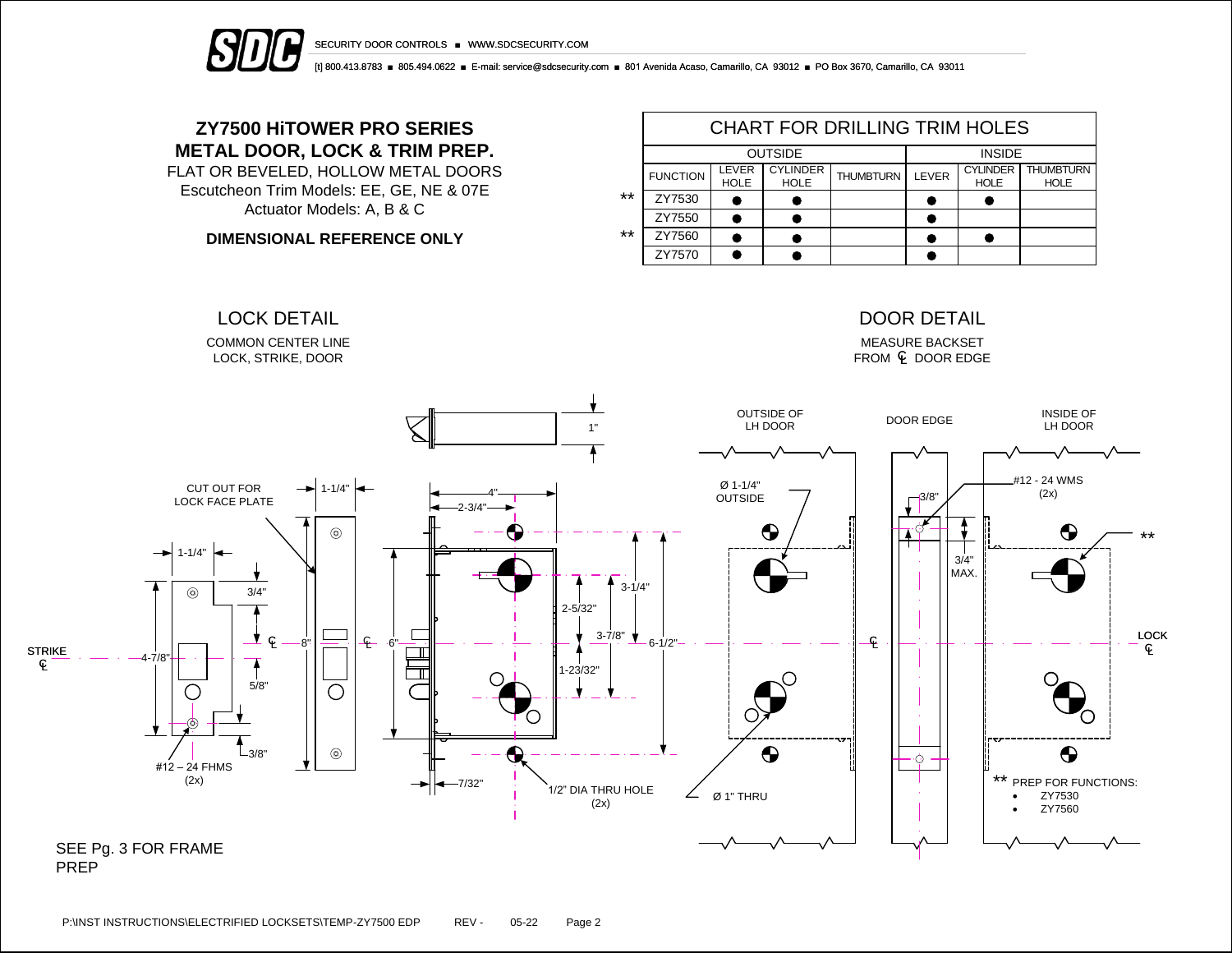

SECURITY DOOR CONTROLS ■ WWW.SDCSECURITY.COM

[t] 800.413.8783 ■ 805.494.0622 ■ E-mail: service@sdcsecurity.com ■ 801 Avenida Acaso, Camarillo, CA 93012 ■ PO Box 3670, Camarillo, CA 93011

## **ZY7500 HiTOWER PRO SERIES METAL DOOR, LOCK & TRIM PREP.**

FLAT OR BEVELED, HOLLOW METAL DOORS Escutcheon Trim Models: EE, GE, NE & 07E Actuator Models: A, B & C

**DIMENSIONAL REFERENCE ONLY**

|       | <b>CHART FOR DRILLING TRIM HOLES</b> |                      |                                |                  |       |                                |                                 |  |  |  |  |
|-------|--------------------------------------|----------------------|--------------------------------|------------------|-------|--------------------------------|---------------------------------|--|--|--|--|
|       |                                      | <b>OUTSIDE</b>       | <b>INSIDE</b>                  |                  |       |                                |                                 |  |  |  |  |
|       | <b>FUNCTION</b>                      | LEVER<br><b>HOLE</b> | <b>CYLINDER</b><br><b>HOLE</b> | <b>THUMBTURN</b> | LEVER | <b>CYLINDER</b><br><b>HOLE</b> | <b>THUMBTURN</b><br><b>HOLE</b> |  |  |  |  |
| $***$ | ZY7530                               |                      |                                |                  |       |                                |                                 |  |  |  |  |
|       | ZY7550                               |                      |                                |                  |       |                                |                                 |  |  |  |  |
| $***$ | ZY7560                               |                      |                                |                  |       |                                |                                 |  |  |  |  |
|       | ZY7570                               |                      |                                |                  |       |                                |                                 |  |  |  |  |



PREP

L C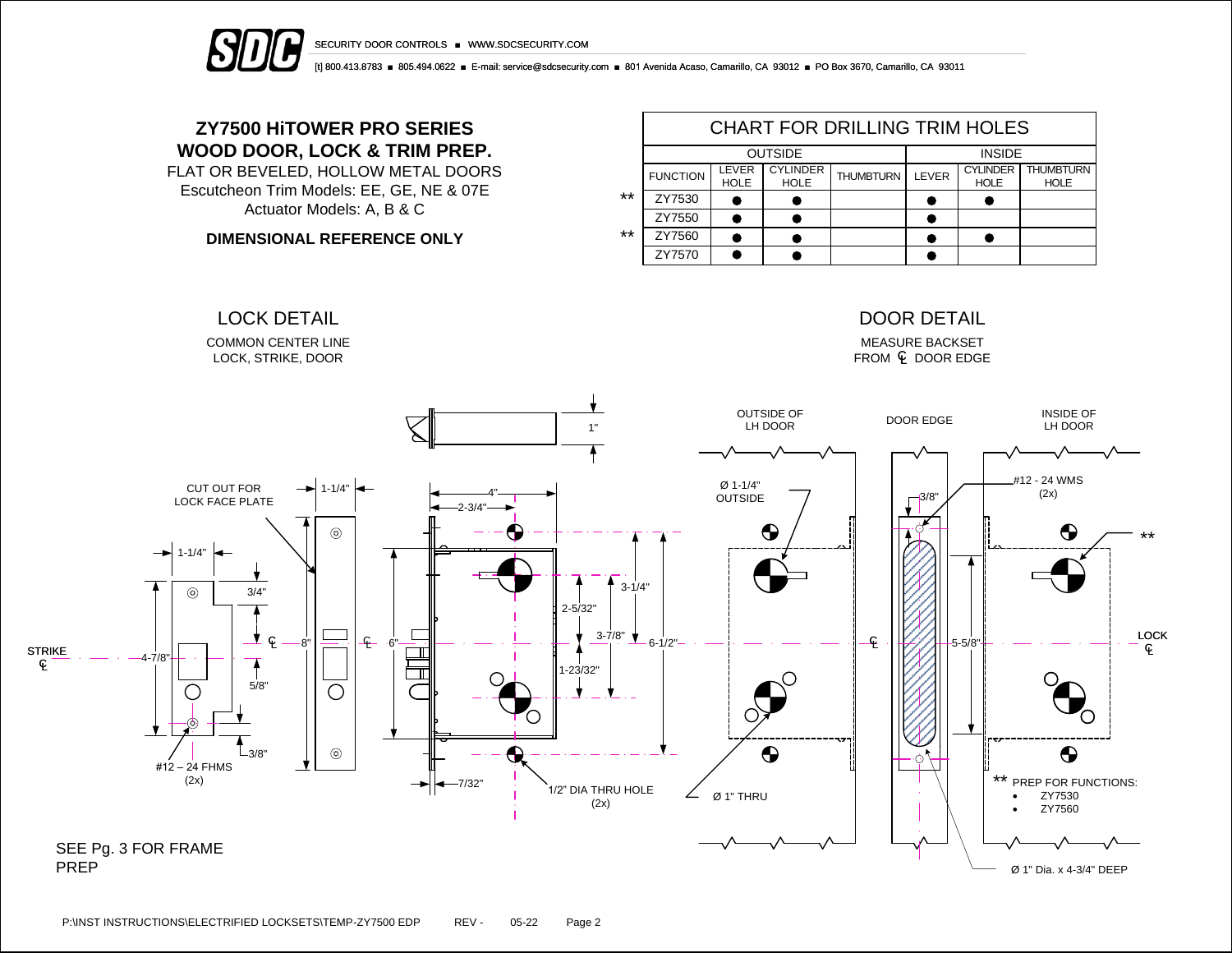

SECURITY DOOR CONTROLS ■ WWW.SDCSECURITY.COM

[t] 800.413.8783 ■ 805.494.0622 ■ E-mail: service@sdcsecurity.com ■ 801 Avenida Acaso, Camarillo, CA 93012 ■ PO Box 3670, Camarillo, CA 93011

## **ZY7500 HiTOWER PRO SERIES WOOD DOOR, LOCK & TRIM PREP.**

FLAT OR BEVELED, HOLLOW METAL DOORS Escutcheon Trim Models: EE, GE, NE & 07E Actuator Models: A, B & C

**DIMENSIONAL REFERENCE ONLY**

|       | <b>CHART FOR DRILLING TRIM HOLES</b> |                      |                                |                  |       |                                |                                 |  |  |  |  |
|-------|--------------------------------------|----------------------|--------------------------------|------------------|-------|--------------------------------|---------------------------------|--|--|--|--|
|       |                                      | <b>OUTSIDE</b>       | <b>INSIDE</b>                  |                  |       |                                |                                 |  |  |  |  |
|       | <b>FUNCTION</b>                      | LEVER<br><b>HOLE</b> | <b>CYLINDER</b><br><b>HOLE</b> | <b>THUMBTURN</b> | LEVER | <b>CYLINDER</b><br><b>HOLE</b> | <b>THUMBTURN</b><br><b>HOLE</b> |  |  |  |  |
| $***$ | ZY7530                               |                      |                                |                  |       |                                |                                 |  |  |  |  |
|       | ZY7550                               |                      |                                |                  |       |                                |                                 |  |  |  |  |
| $***$ | ZY7560                               |                      |                                |                  |       |                                |                                 |  |  |  |  |
|       | ZY7570                               |                      |                                |                  |       |                                |                                 |  |  |  |  |